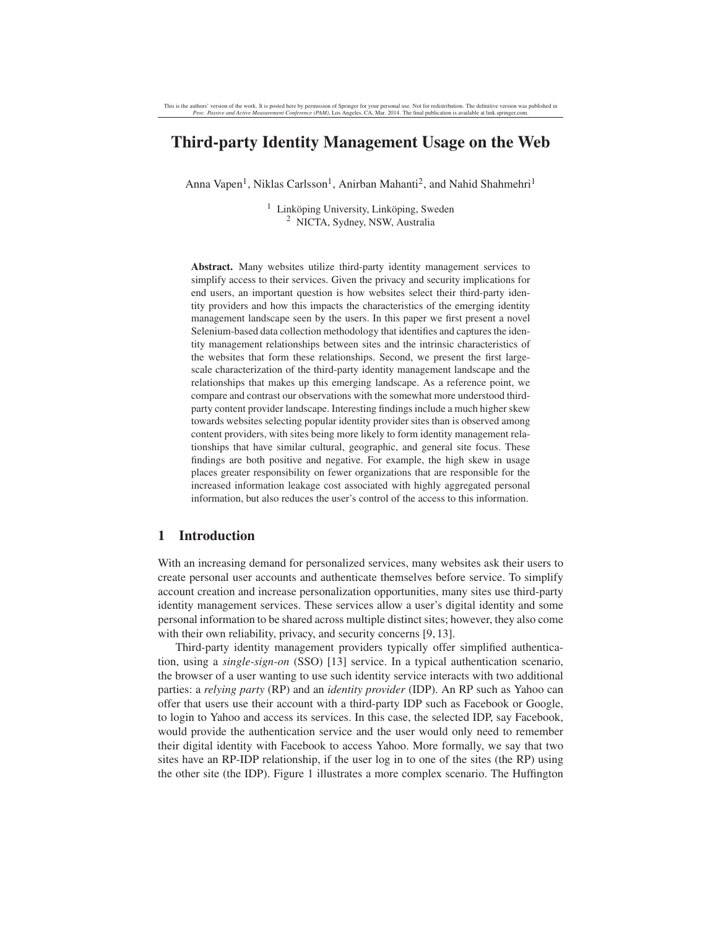# **Third-party Identity Management Usage on the Web**

Anna Vapen<sup>1</sup>, Niklas Carlsson<sup>1</sup>, Anirban Mahanti<sup>2</sup>, and Nahid Shahmehri<sup>1</sup>

 $1$  Linköping University, Linköping, Sweden <sup>2</sup> NICTA, Sydney, NSW, Australia

**Abstract.** Many websites utilize third-party identity management services to simplify access to their services. Given the privacy and security implications for end users, an important question is how websites select their third-party identity providers and how this impacts the characteristics of the emerging identity management landscape seen by the users. In this paper we first present a novel Selenium-based data collection methodology that identifies and captures the identity management relationships between sites and the intrinsic characteristics of the websites that form these relationships. Second, we present the first largescale characterization of the third-party identity management landscape and the relationships that makes up this emerging landscape. As a reference point, we compare and contrast our observations with the somewhat more understood thirdparty content provider landscape. Interesting findings include a much higher skew towards websites selecting popular identity provider sites than is observed among content providers, with sites being more likely to form identity management relationships that have similar cultural, geographic, and general site focus. These findings are both positive and negative. For example, the high skew in usage places greater responsibility on fewer organizations that are responsible for the increased information leakage cost associated with highly aggregated personal information, but also reduces the user's control of the access to this information.

# **1 Introduction**

With an increasing demand for personalized services, many websites ask their users to create personal user accounts and authenticate themselves before service. To simplify account creation and increase personalization opportunities, many sites use third-party identity management services. These services allow a user's digital identity and some personal information to be shared across multiple distinct sites; however, they also come with their own reliability, privacy, and security concerns [9, 13].

Third-party identity management providers typically offer simplified authentication, using a *single-sign-on* (SSO) [13] service. In a typical authentication scenario, the browser of a user wanting to use such identity service interacts with two additional parties: a *relying party* (RP) and an *identity provider* (IDP). An RP such as Yahoo can offer that users use their account with a third-party IDP such as Facebook or Google, to login to Yahoo and access its services. In this case, the selected IDP, say Facebook, would provide the authentication service and the user would only need to remember their digital identity with Facebook to access Yahoo. More formally, we say that two sites have an RP-IDP relationship, if the user log in to one of the sites (the RP) using the other site (the IDP). Figure 1 illustrates a more complex scenario. The Huffington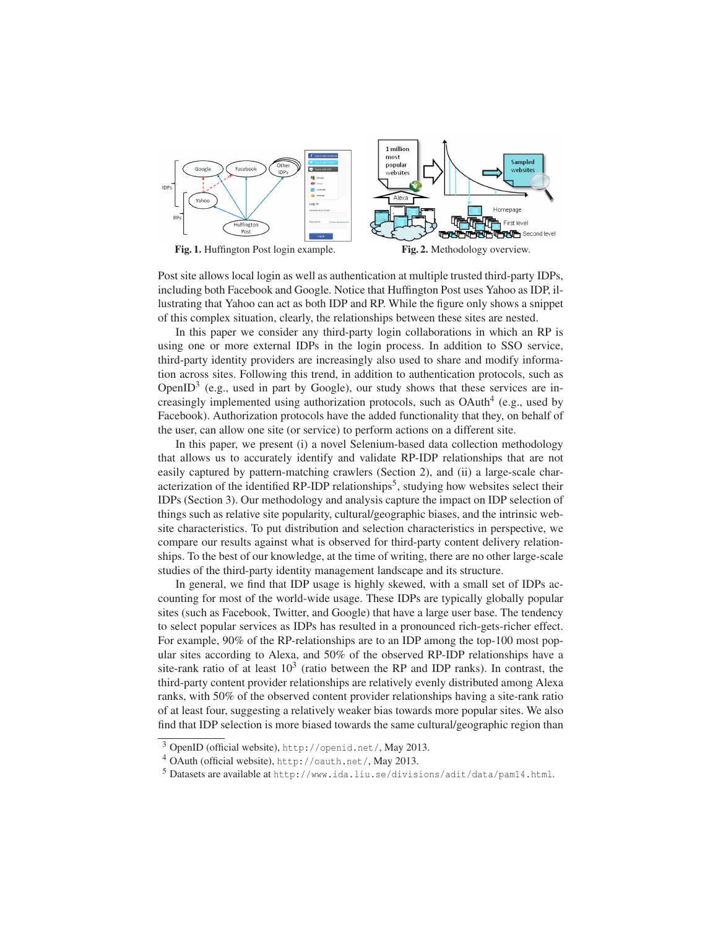

**Fig. 1.** Huffington Post login example. **Fig. 2.** Methodology overview.

Post site allows local login as well as authentication at multiple trusted third-party IDPs, including both Facebook and Google. Notice that Huffington Post uses Yahoo as IDP, illustrating that Yahoo can act as both IDP and RP. While the figure only shows a snippet of this complex situation, clearly, the relationships between these sites are nested.

In this paper we consider any third-party login collaborations in which an RP is using one or more external IDPs in the login process. In addition to SSO service, third-party identity providers are increasingly also used to share and modify information across sites. Following this trend, in addition to authentication protocols, such as OpenID<sup>3</sup> (e.g., used in part by Google), our study shows that these services are increasingly implemented using authorization protocols, such as OAuth<sup>4</sup> (e.g., used by Facebook). Authorization protocols have the added functionality that they, on behalf of the user, can allow one site (or service) to perform actions on a different site.

In this paper, we present (i) a novel Selenium-based data collection methodology that allows us to accurately identify and validate RP-IDP relationships that are not easily captured by pattern-matching crawlers (Section 2), and (ii) a large-scale characterization of the identified RP-IDP relationships<sup>5</sup>, studying how websites select their IDPs (Section 3). Our methodology and analysis capture the impact on IDP selection of things such as relative site popularity, cultural/geographic biases, and the intrinsic website characteristics. To put distribution and selection characteristics in perspective, we compare our results against what is observed for third-party content delivery relationships. To the best of our knowledge, at the time of writing, there are no other large-scale studies of the third-party identity management landscape and its structure.

In general, we find that IDP usage is highly skewed, with a small set of IDPs accounting for most of the world-wide usage. These IDPs are typically globally popular sites (such as Facebook, Twitter, and Google) that have a large user base. The tendency to select popular services as IDPs has resulted in a pronounced rich-gets-richer effect. For example, 90% of the RP-relationships are to an IDP among the top-100 most popular sites according to Alexa, and 50% of the observed RP-IDP relationships have a site-rank ratio of at least  $10^3$  (ratio between the RP and IDP ranks). In contrast, the third-party content provider relationships are relatively evenly distributed among Alexa ranks, with 50% of the observed content provider relationships having a site-rank ratio of at least four, suggesting a relatively weaker bias towards more popular sites. We also find that IDP selection is more biased towards the same cultural/geographic region than

<sup>3</sup> OpenID (official website), http://openid.net/, May 2013.

<sup>4</sup> OAuth (official website), http://oauth.net/, May 2013.

<sup>5</sup> Datasets are available at http://www.ida.liu.se/divisions/adit/data/pam14.html.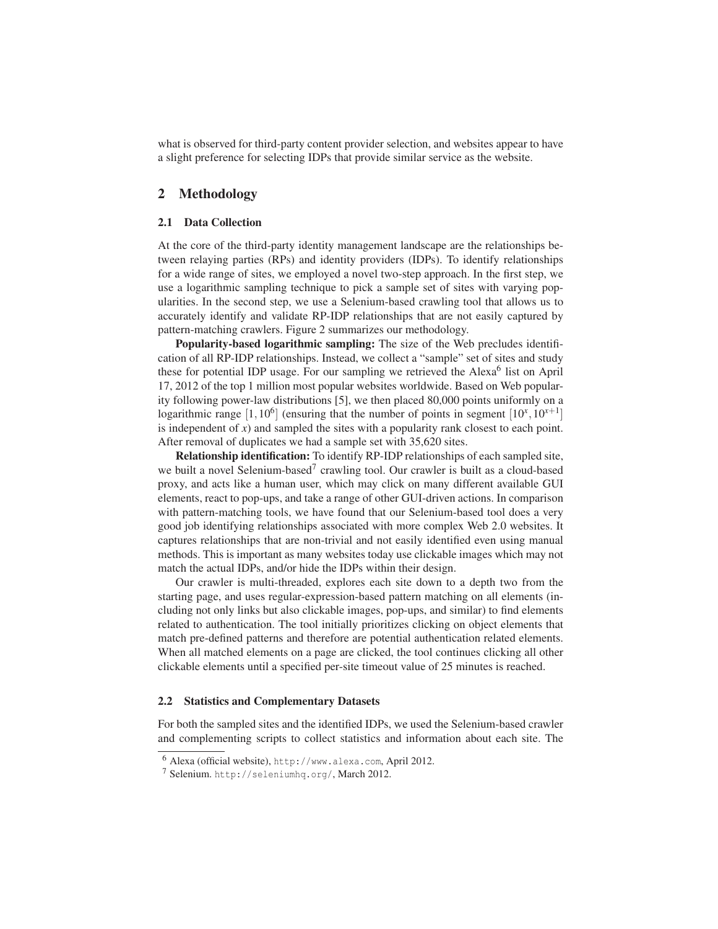what is observed for third-party content provider selection, and websites appear to have a slight preference for selecting IDPs that provide similar service as the website.

# **2 Methodology**

### **2.1 Data Collection**

At the core of the third-party identity management landscape are the relationships between relaying parties (RPs) and identity providers (IDPs). To identify relationships for a wide range of sites, we employed a novel two-step approach. In the first step, we use a logarithmic sampling technique to pick a sample set of sites with varying popularities. In the second step, we use a Selenium-based crawling tool that allows us to accurately identify and validate RP-IDP relationships that are not easily captured by pattern-matching crawlers. Figure 2 summarizes our methodology.

**Popularity-based logarithmic sampling:** The size of the Web precludes identification of all RP-IDP relationships. Instead, we collect a "sample" set of sites and study these for potential IDP usage. For our sampling we retrieved the Alexa<sup>6</sup> list on April 17, 2012 of the top 1 million most popular websites worldwide. Based on Web popularity following power-law distributions [5], we then placed 80,000 points uniformly on a logarithmic range  $[1, 10^6]$  (ensuring that the number of points in segment  $[10^x, 10^{x+1}]$ is independent of *x*) and sampled the sites with a popularity rank closest to each point. After removal of duplicates we had a sample set with 35,620 sites.

**Relationship identification:** To identify RP-IDP relationships of each sampled site, we built a novel Selenium-based<sup>7</sup> crawling tool. Our crawler is built as a cloud-based proxy, and acts like a human user, which may click on many different available GUI elements, react to pop-ups, and take a range of other GUI-driven actions. In comparison with pattern-matching tools, we have found that our Selenium-based tool does a very good job identifying relationships associated with more complex Web 2.0 websites. It captures relationships that are non-trivial and not easily identified even using manual methods. This is important as many websites today use clickable images which may not match the actual IDPs, and/or hide the IDPs within their design.

Our crawler is multi-threaded, explores each site down to a depth two from the starting page, and uses regular-expression-based pattern matching on all elements (including not only links but also clickable images, pop-ups, and similar) to find elements related to authentication. The tool initially prioritizes clicking on object elements that match pre-defined patterns and therefore are potential authentication related elements. When all matched elements on a page are clicked, the tool continues clicking all other clickable elements until a specified per-site timeout value of 25 minutes is reached.

#### **2.2 Statistics and Complementary Datasets**

For both the sampled sites and the identified IDPs, we used the Selenium-based crawler and complementing scripts to collect statistics and information about each site. The

<sup>6</sup> Alexa (official website), http://www.alexa.com, April 2012.

<sup>7</sup> Selenium. http://seleniumhq.org/, March 2012.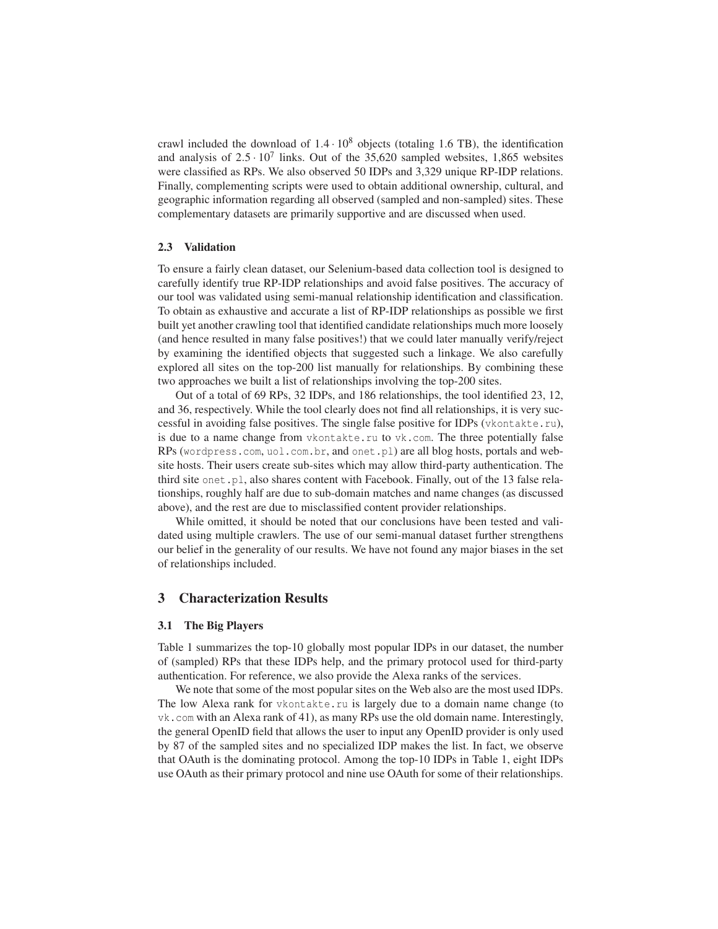crawl included the download of  $1.4 \cdot 10^8$  objects (totaling 1.6 TB), the identification and analysis of  $2.5 \cdot 10^7$  links. Out of the  $35,620$  sampled websites,  $1,865$  websites were classified as RPs. We also observed 50 IDPs and 3,329 unique RP-IDP relations. Finally, complementing scripts were used to obtain additional ownership, cultural, and geographic information regarding all observed (sampled and non-sampled) sites. These complementary datasets are primarily supportive and are discussed when used.

#### **2.3 Validation**

To ensure a fairly clean dataset, our Selenium-based data collection tool is designed to carefully identify true RP-IDP relationships and avoid false positives. The accuracy of our tool was validated using semi-manual relationship identification and classification. To obtain as exhaustive and accurate a list of RP-IDP relationships as possible we first built yet another crawling tool that identified candidate relationships much more loosely (and hence resulted in many false positives!) that we could later manually verify/reject by examining the identified objects that suggested such a linkage. We also carefully explored all sites on the top-200 list manually for relationships. By combining these two approaches we built a list of relationships involving the top-200 sites.

Out of a total of 69 RPs, 32 IDPs, and 186 relationships, the tool identified 23, 12, and 36, respectively. While the tool clearly does not find all relationships, it is very successful in avoiding false positives. The single false positive for IDPs (vkontakte.ru), is due to a name change from vkontakte.ru to vk.com. The three potentially false RPs (wordpress.com, uol.com.br, and onet.pl) are all blog hosts, portals and website hosts. Their users create sub-sites which may allow third-party authentication. The third site onet.pl, also shares content with Facebook. Finally, out of the 13 false relationships, roughly half are due to sub-domain matches and name changes (as discussed above), and the rest are due to misclassified content provider relationships.

While omitted, it should be noted that our conclusions have been tested and validated using multiple crawlers. The use of our semi-manual dataset further strengthens our belief in the generality of our results. We have not found any major biases in the set of relationships included.

# **3 Characterization Results**

## **3.1 The Big Players**

Table 1 summarizes the top-10 globally most popular IDPs in our dataset, the number of (sampled) RPs that these IDPs help, and the primary protocol used for third-party authentication. For reference, we also provide the Alexa ranks of the services.

We note that some of the most popular sites on the Web also are the most used IDPs. The low Alexa rank for vkontakte.ru is largely due to a domain name change (to vk.com with an Alexa rank of 41), as many RPs use the old domain name. Interestingly, the general OpenID field that allows the user to input any OpenID provider is only used by 87 of the sampled sites and no specialized IDP makes the list. In fact, we observe that OAuth is the dominating protocol. Among the top-10 IDPs in Table 1, eight IDPs use OAuth as their primary protocol and nine use OAuth for some of their relationships.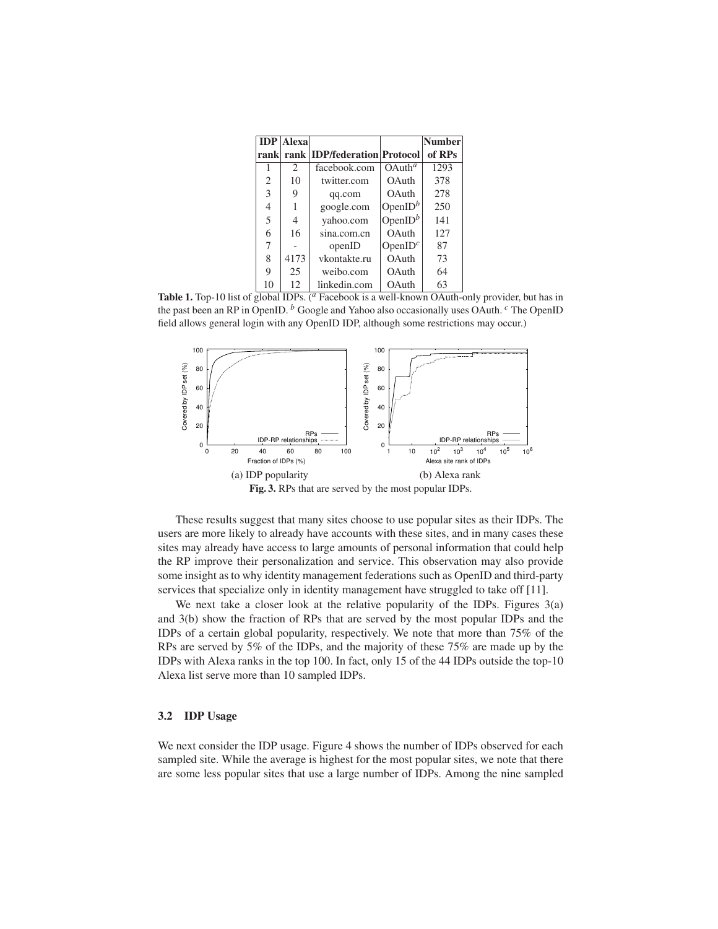|                | $IDP$ Alexa |                                   |                     | <b>Number</b> |  |
|----------------|-------------|-----------------------------------|---------------------|---------------|--|
|                |             | rank rank IDP/federation Protocol |                     | of RPs        |  |
| 1              | 2           | facebook.com                      | OAuth <sup>a</sup>  | 1293          |  |
| $\overline{2}$ | 10          | twitter.com                       | OAuth               | 378           |  |
| 3              | 9           | qq.com                            | OAuth               | 278           |  |
| 4              | 1           | google.com                        | OpenID <sup>b</sup> | 250           |  |
| 5              | 4           | yahoo.com                         | OpenID <sup>b</sup> | 141           |  |
| 6              | 16          | sina.com.cn                       | OAuth               | 127           |  |
| 7              |             | openID                            | OpenID <sup>c</sup> | 87            |  |
| 8              | 4173        | vkontakte.ru                      | OAuth               | 73            |  |
| 9              | 25          | weibo.com                         | OAuth               | 64            |  |
| 10             | 12          | linkedin.com                      | OAuth               | 63            |  |

Table 1. Top-10 list of global IDPs. (*a* Facebook is a well-known OAuth-only provider, but has in the past been an RP in OpenID. *<sup>b</sup>* Google and Yahoo also occasionally uses OAuth. *<sup>c</sup>* The OpenID field allows general login with any OpenID IDP, although some restrictions may occur.)



These results suggest that many sites choose to use popular sites as their IDPs. The users are more likely to already have accounts with these sites, and in many cases these sites may already have access to large amounts of personal information that could help the RP improve their personalization and service. This observation may also provide some insight as to why identity management federations such as OpenID and third-party services that specialize only in identity management have struggled to take off [11].

We next take a closer look at the relative popularity of the IDPs. Figures 3(a) and 3(b) show the fraction of RPs that are served by the most popular IDPs and the IDPs of a certain global popularity, respectively. We note that more than 75% of the RPs are served by 5% of the IDPs, and the majority of these 75% are made up by the IDPs with Alexa ranks in the top 100. In fact, only 15 of the 44 IDPs outside the top-10 Alexa list serve more than 10 sampled IDPs.

## **3.2 IDP Usage**

We next consider the IDP usage. Figure 4 shows the number of IDPs observed for each sampled site. While the average is highest for the most popular sites, we note that there are some less popular sites that use a large number of IDPs. Among the nine sampled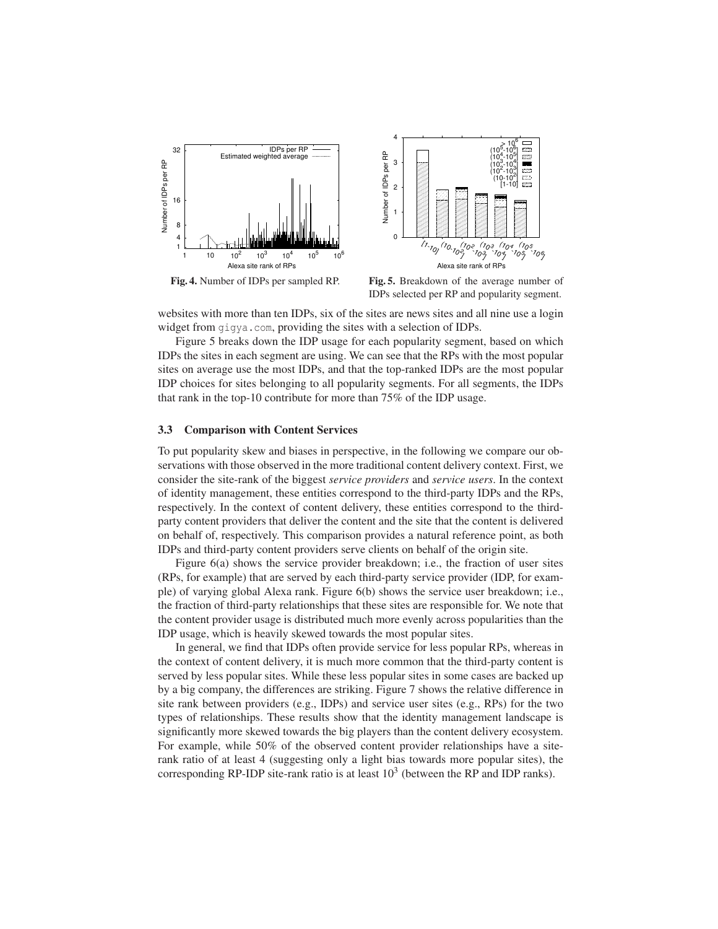

**Fig. 4.** Number of IDPs per sampled RP.

**Fig. 5.** Breakdown of the average number of IDPs selected per RP and popularity segment.

websites with more than ten IDPs, six of the sites are news sites and all nine use a login widget from  $q$ iqya.com, providing the sites with a selection of IDPs.

Figure 5 breaks down the IDP usage for each popularity segment, based on which IDPs the sites in each segment are using. We can see that the RPs with the most popular sites on average use the most IDPs, and that the top-ranked IDPs are the most popular IDP choices for sites belonging to all popularity segments. For all segments, the IDPs that rank in the top-10 contribute for more than 75% of the IDP usage.

#### **3.3 Comparison with Content Services**

To put popularity skew and biases in perspective, in the following we compare our observations with those observed in the more traditional content delivery context. First, we consider the site-rank of the biggest *service providers* and *service users*. In the context of identity management, these entities correspond to the third-party IDPs and the RPs, respectively. In the context of content delivery, these entities correspond to the thirdparty content providers that deliver the content and the site that the content is delivered on behalf of, respectively. This comparison provides a natural reference point, as both IDPs and third-party content providers serve clients on behalf of the origin site.

Figure 6(a) shows the service provider breakdown; i.e., the fraction of user sites (RPs, for example) that are served by each third-party service provider (IDP, for example) of varying global Alexa rank. Figure 6(b) shows the service user breakdown; i.e., the fraction of third-party relationships that these sites are responsible for. We note that the content provider usage is distributed much more evenly across popularities than the IDP usage, which is heavily skewed towards the most popular sites.

In general, we find that IDPs often provide service for less popular RPs, whereas in the context of content delivery, it is much more common that the third-party content is served by less popular sites. While these less popular sites in some cases are backed up by a big company, the differences are striking. Figure 7 shows the relative difference in site rank between providers (e.g., IDPs) and service user sites (e.g., RPs) for the two types of relationships. These results show that the identity management landscape is significantly more skewed towards the big players than the content delivery ecosystem. For example, while 50% of the observed content provider relationships have a siterank ratio of at least 4 (suggesting only a light bias towards more popular sites), the corresponding RP-IDP site-rank ratio is at least  $10^3$  (between the RP and IDP ranks).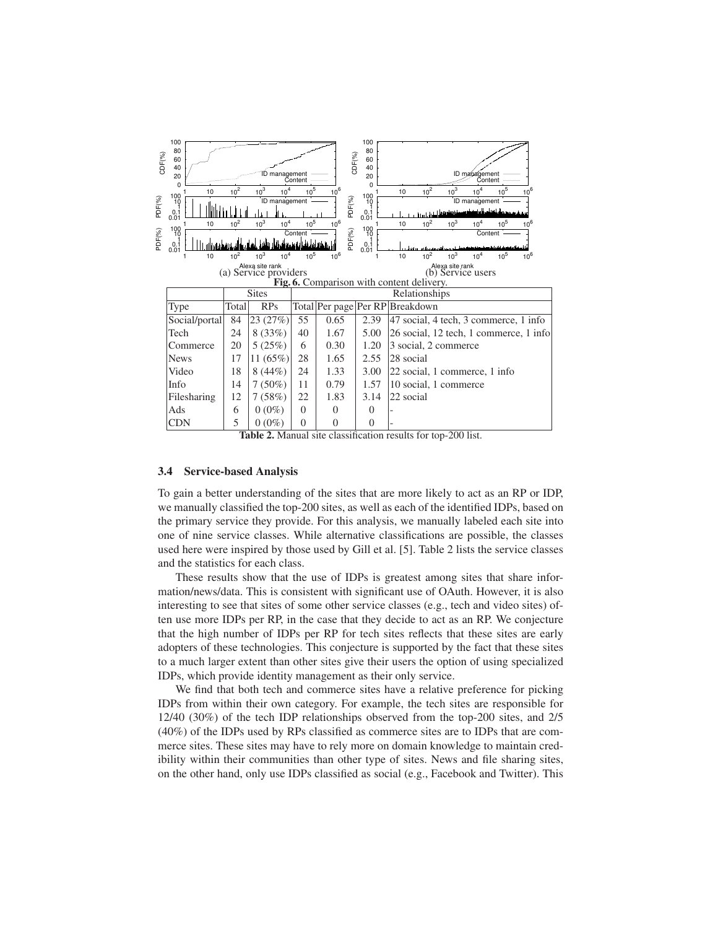

**Table 2.** Manual site classification results for top-200 list.

#### **3.4 Service-based Analysis**

To gain a better understanding of the sites that are more likely to act as an RP or IDP, we manually classified the top-200 sites, as well as each of the identified IDPs, based on the primary service they provide. For this analysis, we manually labeled each site into one of nine service classes. While alternative classifications are possible, the classes used here were inspired by those used by Gill et al. [5]. Table 2 lists the service classes and the statistics for each class.

These results show that the use of IDPs is greatest among sites that share information/news/data. This is consistent with significant use of OAuth. However, it is also interesting to see that sites of some other service classes (e.g., tech and video sites) often use more IDPs per RP, in the case that they decide to act as an RP. We conjecture that the high number of IDPs per RP for tech sites reflects that these sites are early adopters of these technologies. This conjecture is supported by the fact that these sites to a much larger extent than other sites give their users the option of using specialized IDPs, which provide identity management as their only service.

We find that both tech and commerce sites have a relative preference for picking IDPs from within their own category. For example, the tech sites are responsible for 12/40 (30%) of the tech IDP relationships observed from the top-200 sites, and 2/5 (40%) of the IDPs used by RPs classified as commerce sites are to IDPs that are commerce sites. These sites may have to rely more on domain knowledge to maintain credibility within their communities than other type of sites. News and file sharing sites, on the other hand, only use IDPs classified as social (e.g., Facebook and Twitter). This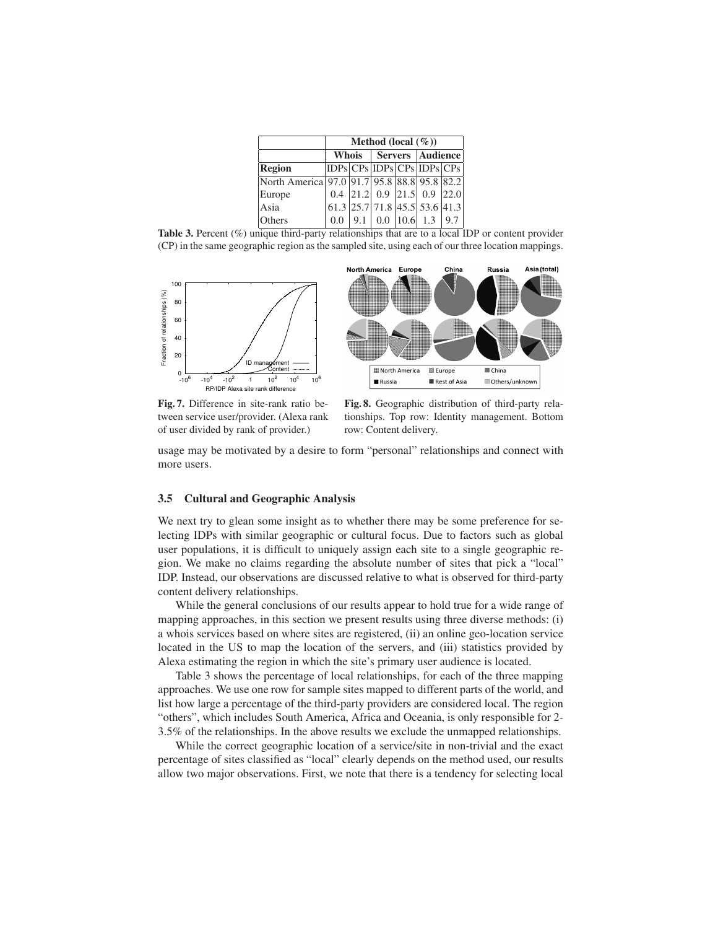|                                             | Method (local $(\%)$ ) |  |  |  |                                                      |  |  |  |
|---------------------------------------------|------------------------|--|--|--|------------------------------------------------------|--|--|--|
|                                             | Whois                  |  |  |  | <b>Servers</b> Audience                              |  |  |  |
| <b>Region</b>                               |                        |  |  |  | IDPs CPs IDPs CPs IDPs CPs                           |  |  |  |
| North America 97.0 91.7 95.8 88.8 95.8 82.2 |                        |  |  |  |                                                      |  |  |  |
| Europe                                      |                        |  |  |  | 0.4 21.2 0.9 21.5 0.9 22.0                           |  |  |  |
| Asia                                        |                        |  |  |  | 61.3 25.7 71.8 45.5 53.6 41.3                        |  |  |  |
| Others                                      | $0.0\,$                |  |  |  | $\vert$ 9.1 $\vert$ 0.0 $\vert$ 10.6 1.3 $\vert$ 9.7 |  |  |  |

Table 3. Percent (%) unique third-party relationships that are to a local IDP or content provider (CP) in the same geographic region as the sampled site, using each of our three location mappings.



**Fig. 7.** Difference in site-rank ratio between service user/provider. (Alexa rank of user divided by rank of provider.)

**Fig. 8.** Geographic distribution of third-party relationships. Top row: Identity management. Bottom row: Content delivery.

usage may be motivated by a desire to form "personal" relationships and connect with more users.

#### **3.5 Cultural and Geographic Analysis**

We next try to glean some insight as to whether there may be some preference for selecting IDPs with similar geographic or cultural focus. Due to factors such as global user populations, it is difficult to uniquely assign each site to a single geographic region. We make no claims regarding the absolute number of sites that pick a "local" IDP. Instead, our observations are discussed relative to what is observed for third-party content delivery relationships.

While the general conclusions of our results appear to hold true for a wide range of mapping approaches, in this section we present results using three diverse methods: (i) a whois services based on where sites are registered, (ii) an online geo-location service located in the US to map the location of the servers, and (iii) statistics provided by Alexa estimating the region in which the site's primary user audience is located.

Table 3 shows the percentage of local relationships, for each of the three mapping approaches. We use one row for sample sites mapped to different parts of the world, and list how large a percentage of the third-party providers are considered local. The region "others", which includes South America, Africa and Oceania, is only responsible for 2- 3.5% of the relationships. In the above results we exclude the unmapped relationships.

While the correct geographic location of a service/site in non-trivial and the exact percentage of sites classified as "local" clearly depends on the method used, our results allow two major observations. First, we note that there is a tendency for selecting local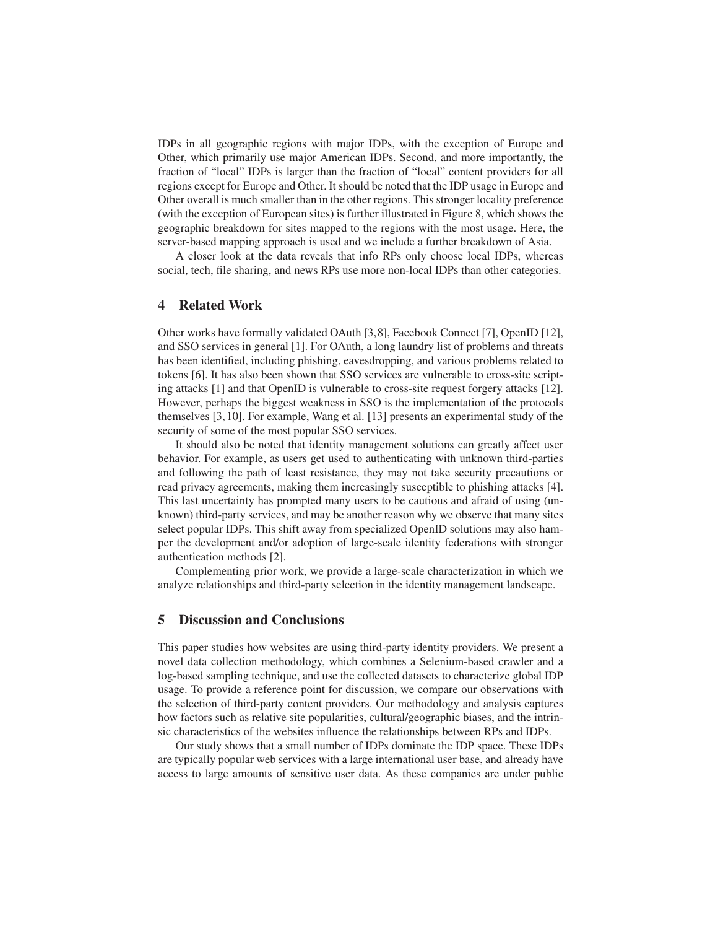IDPs in all geographic regions with major IDPs, with the exception of Europe and Other, which primarily use major American IDPs. Second, and more importantly, the fraction of "local" IDPs is larger than the fraction of "local" content providers for all regions except for Europe and Other. It should be noted that the IDP usage in Europe and Other overall is much smaller than in the other regions. This stronger locality preference (with the exception of European sites) is further illustrated in Figure 8, which shows the geographic breakdown for sites mapped to the regions with the most usage. Here, the server-based mapping approach is used and we include a further breakdown of Asia.

A closer look at the data reveals that info RPs only choose local IDPs, whereas social, tech, file sharing, and news RPs use more non-local IDPs than other categories.

## **4 Related Work**

Other works have formally validated OAuth [3,8], Facebook Connect [7], OpenID [12], and SSO services in general [1]. For OAuth, a long laundry list of problems and threats has been identified, including phishing, eavesdropping, and various problems related to tokens [6]. It has also been shown that SSO services are vulnerable to cross-site scripting attacks [1] and that OpenID is vulnerable to cross-site request forgery attacks [12]. However, perhaps the biggest weakness in SSO is the implementation of the protocols themselves [3, 10]. For example, Wang et al. [13] presents an experimental study of the security of some of the most popular SSO services.

It should also be noted that identity management solutions can greatly affect user behavior. For example, as users get used to authenticating with unknown third-parties and following the path of least resistance, they may not take security precautions or read privacy agreements, making them increasingly susceptible to phishing attacks [4]. This last uncertainty has prompted many users to be cautious and afraid of using (unknown) third-party services, and may be another reason why we observe that many sites select popular IDPs. This shift away from specialized OpenID solutions may also hamper the development and/or adoption of large-scale identity federations with stronger authentication methods [2].

Complementing prior work, we provide a large-scale characterization in which we analyze relationships and third-party selection in the identity management landscape.

# **5 Discussion and Conclusions**

This paper studies how websites are using third-party identity providers. We present a novel data collection methodology, which combines a Selenium-based crawler and a log-based sampling technique, and use the collected datasets to characterize global IDP usage. To provide a reference point for discussion, we compare our observations with the selection of third-party content providers. Our methodology and analysis captures how factors such as relative site popularities, cultural/geographic biases, and the intrinsic characteristics of the websites influence the relationships between RPs and IDPs.

Our study shows that a small number of IDPs dominate the IDP space. These IDPs are typically popular web services with a large international user base, and already have access to large amounts of sensitive user data. As these companies are under public